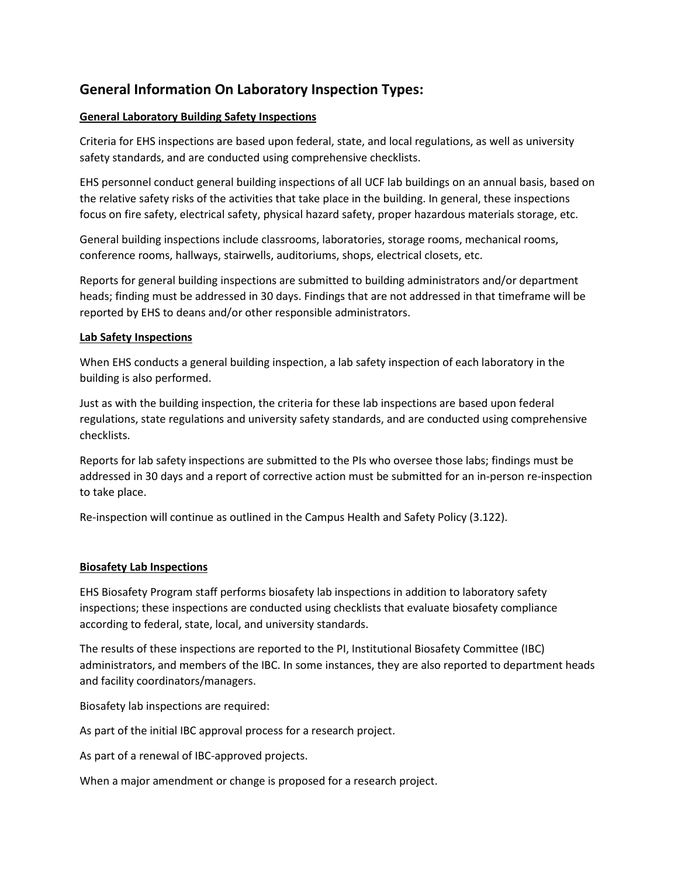# **General Information On Laboratory Inspection Types:**

## **General Laboratory Building Safety Inspections**

Criteria for EHS inspections are based upon federal, state, and local regulations, as well as university safety standards, and are conducted using comprehensive checklists.

EHS personnel conduct general building inspections of all UCF lab buildings on an annual basis, based on the relative safety risks of the activities that take place in the building. In general, these inspections focus on fire safety, electrical safety, physical hazard safety, proper hazardous materials storage, etc.

General building inspections include classrooms, laboratories, storage rooms, mechanical rooms, conference rooms, hallways, stairwells, auditoriums, shops, electrical closets, etc.

Reports for general building inspections are submitted to building administrators and/or department heads; finding must be addressed in 30 days. Findings that are not addressed in that timeframe will be reported by EHS to deans and/or other responsible administrators.

#### **Lab Safety Inspections**

When EHS conducts a general building inspection, a lab safety inspection of each laboratory in the building is also performed.

Just as with the building inspection, the criteria for these lab inspections are based upon federal regulations, state regulations and university safety standards, and are conducted using comprehensive checklists.

Reports for lab safety inspections are submitted to the PIs who oversee those labs; findings must be addressed in 30 days and a report of corrective action must be submitted for an in-person re-inspection to take place.

Re-inspection will continue as outlined in the Campus Health and Safety Policy (3.122).

#### **Biosafety Lab Inspections**

EHS Biosafety Program staff performs biosafety lab inspections in addition to laboratory safety inspections; these inspections are conducted using checklists that evaluate biosafety compliance according to federal, state, local, and university standards.

The results of these inspections are reported to the PI, Institutional Biosafety Committee (IBC) administrators, and members of the IBC. In some instances, they are also reported to department heads and facility coordinators/managers.

Biosafety lab inspections are required:

As part of the initial IBC approval process for a research project.

As part of a renewal of IBC-approved projects.

When a major amendment or change is proposed for a research project.